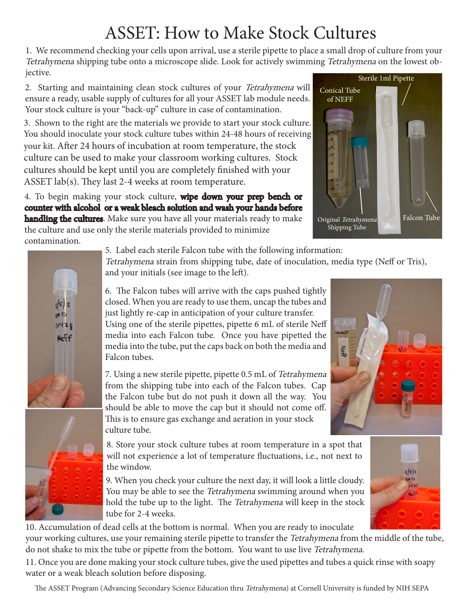## ASSET: How to Make Stock Cultures

1. We recommend checking your cells upon arrival, use a sterile pipette to place a small drop of culture from your Tetrahymena shipping tube onto a microscope slide. Look for actively swimming Tetrahymena on the lowest objective.

2. Starting and maintaining clean stock cultures of your Tetrahymena will ensure a ready, usable supply of cultures for all your ASSET lab module needs. Your stock culture is your "back-up" culture in case of contamination.

3. Shown to the right are the materials we provide to start your stock culture. You should inoculate your stock culture tubes within 24-48 hours of receiving your kit. After 24 hours of incubation at room temperature, the stock culture can be used to make your classroom working cultures. Stock cultures should be kept until you are completely finished with your ASSET lab(s). They last 2-4 weeks at room temperature.

4. To begin making your stock culture, **wipe down your prep bench or** counter with alcohol or a weak bleach solution and wash your hands before **handling the cultures**. Make sure you have all your materials ready to make the culture and use only the sterile materials provided to minimize contamination.





5. Label each sterile Falcon tube with the following information:

Tetrahymena strain from shipping tube, date of inoculation, media type (Neff or Tris), and your initials (see image to the left).

6. The Falcon tubes will arrive with the caps pushed tightly closed. When you are ready to use them, uncap the tubes and just lightly re-cap in anticipation of your culture transfer. Using one of the sterile pipettes, pipette 6 mL of sterile Neff media into each Falcon tube. Once you have pipetted the media into the tube, put the caps back on both the media and Falcon tubes.

7. Using a new sterile pipette, pipette 0.5 mL of Tetrahymena from the shipping tube into each of the Falcon tubes. Cap the Falcon tube but do not push it down all the way. You should be able to move the cap but it should not come off. This is to ensure gas exchange and aeration in your stock culture tube.

8. Store your stock culture tubes at room temperature in a spot that will not experience a lot of temperature fluctuations, i.e., not next to the window.

9. When you check your culture the next day, it will look a little cloudy. You may be able to see the Tetrahymena swimming around when you hold the tube up to the light. The Tetrahymena will keep in the stock tube for 2-4 weeks.

10. Accumulation of dead cells at the bottom is normal. When you are ready to inoculate your working cultures, use your remaining sterile pipette to transfer the Tetrahymena from the middle of the tube, do not shake to mix the tube or pipette from the bottom. You want to use live Tetrahymena.

11. Once you are done making your stock culture tubes, give the used pipettes and tubes a quick rinse with soapy water or a weak bleach solution before disposing.